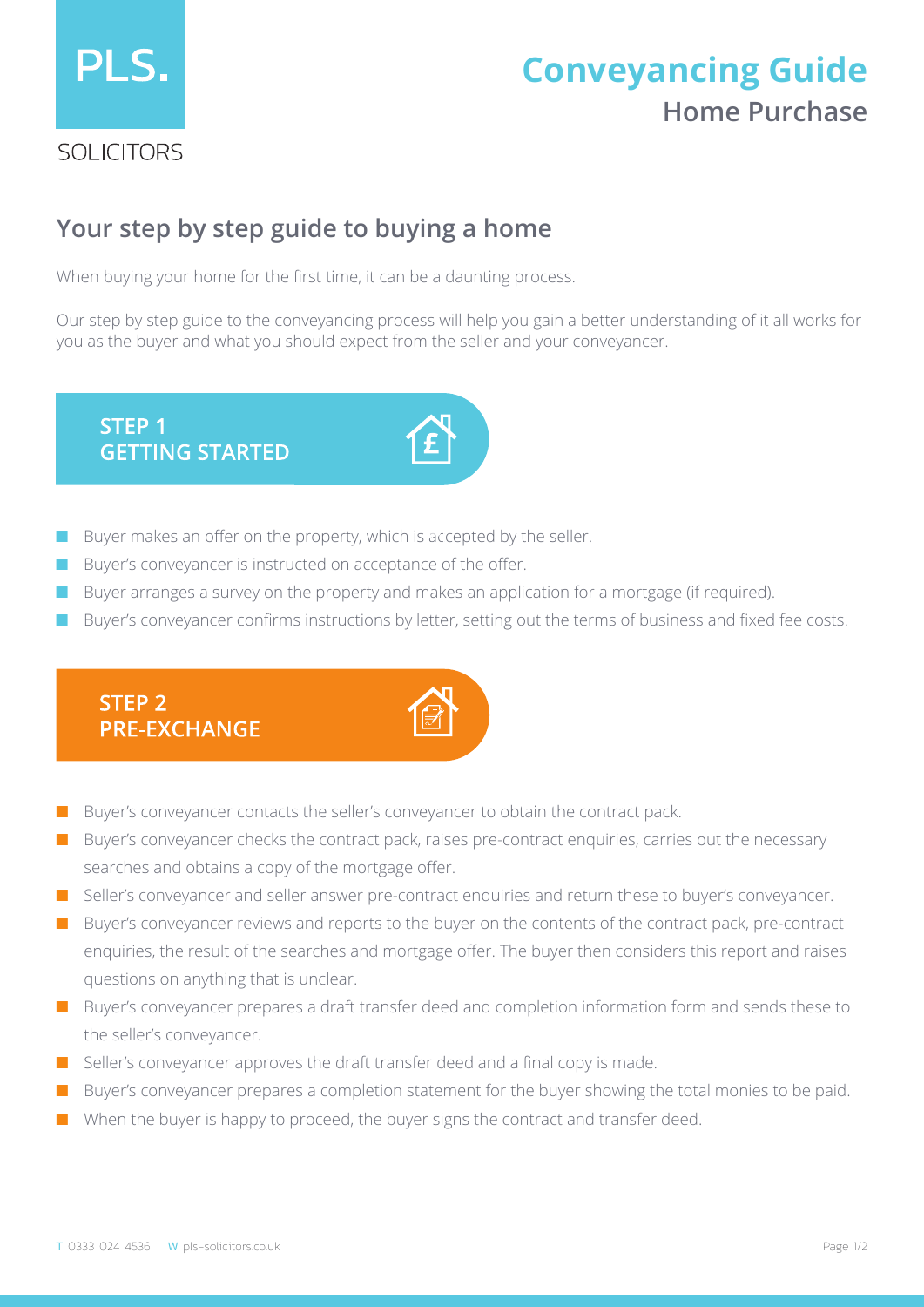

# **Home Purchase Conveyancing Guide**

### **Your step by step guide to buying a home**

When buying your home for the first time, it can be a daunting process.

Our step by step guide to the conveyancing process will help you gain a better understanding of it all works for you as the buyer and what you should expect from the seller and your conveyancer.

**STEP 1 GETTING STARTED** 

- Buyer makes an offer on the property, which is accepted by the seller.
- Buyer's conveyancer is instructed on acceptance of the offer.
- Buyer arranges a survey on the property and makes an application for a mortgage (if required).
- Buyer's conveyancer confirms instructions by letter, setting out the terms of business and fixed fee costs.



- Buyer's conveyancer contacts the seller's conveyancer to obtain the contract pack.
- Buyer's conveyancer checks the contract pack, raises pre-contract enquiries, carries out the necessary searches and obtains a copy of the mortgage offer.
- Seller's conveyancer and seller answer pre-contract enquiries and return these to buyer's conveyancer.
- Buyer's conveyancer reviews and reports to the buyer on the contents of the contract pack, pre-contract enquiries, the result of the searches and mortgage offer. The buyer then considers this report and raises questions on anything that is unclear.
- Buyer's conveyancer prepares a draft transfer deed and completion information form and sends these to the seller's conveyancer.
- Seller's conveyancer approves the draft transfer deed and a final copy is made.
- Buyer's conveyancer prepares a completion statement for the buyer showing the total monies to be paid.
- When the buyer is happy to proceed, the buyer signs the contract and transfer deed.